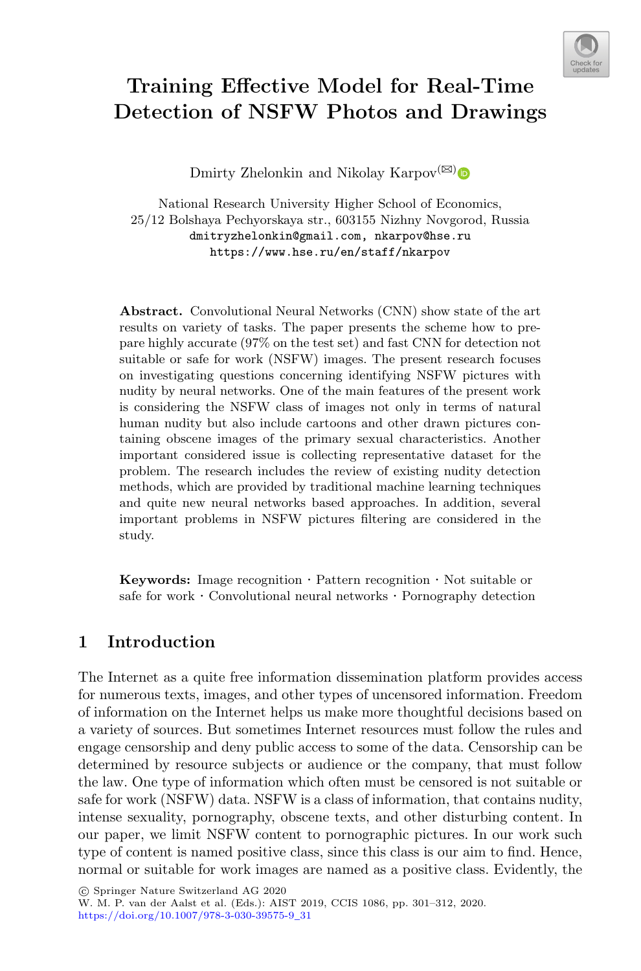

# Training Effective Model for Real-Time Detection of NSFW Photos and Drawings

Dmirty Zhelonkin and Nikolay Karpov<sup>( $\boxtimes$ [\)](http://orcid.org/0000-0003-1053-5239)</sup>

National Research University Higher School of Economics, 25/12 Bolshaya Pechyorskaya str., 603155 Nizhny Novgorod, Russia dmitryzhelonkin@gmail.com, nkarpov@hse.ru https://www.hse.ru/en/staff/nkarpov

Abstract. Convolutional Neural Networks (CNN) show state of the art results on variety of tasks. The paper presents the scheme how to prepare highly accurate (97% on the test set) and fast CNN for detection not suitable or safe for work (NSFW) images. The present research focuses on investigating questions concerning identifying NSFW pictures with nudity by neural networks. One of the main features of the present work is considering the NSFW class of images not only in terms of natural human nudity but also include cartoons and other drawn pictures containing obscene images of the primary sexual characteristics. Another important considered issue is collecting representative dataset for the problem. The research includes the review of existing nudity detection methods, which are provided by traditional machine learning techniques and quite new neural networks based approaches. In addition, several important problems in NSFW pictures filtering are considered in the study.

Keywords: Image recognition  $\cdot$  Pattern recognition  $\cdot$  Not suitable or safe for work  $\cdot$  Convolutional neural networks  $\cdot$  Pornography detection

# 1 Introduction

The Internet as a quite free information dissemination platform provides access for numerous texts, images, and other types of uncensored information. Freedom of information on the Internet helps us make more thoughtful decisions based on a variety of sources. But sometimes Internet resources must follow the rules and engage censorship and deny public access to some of the data. Censorship can be determined by resource subjects or audience or the company, that must follow the law. One type of information which often must be censored is not suitable or safe for work (NSFW) data. NSFW is a class of information, that contains nudity, intense sexuality, pornography, obscene texts, and other disturbing content. In our paper, we limit NSFW content to pornographic pictures. In our work such type of content is named positive class, since this class is our aim to find. Hence, normal or suitable for work images are named as a positive class. Evidently, the

-c Springer Nature Switzerland AG 2020

W. M. P. van der Aalst et al. (Eds.): AIST 2019, CCIS 1086, pp. 301–312, 2020. [https://doi.org/10.1007/978-3-030-39575-9](https://doi.org/10.1007/978-3-030-39575-9_31)\_<sup>31</sup>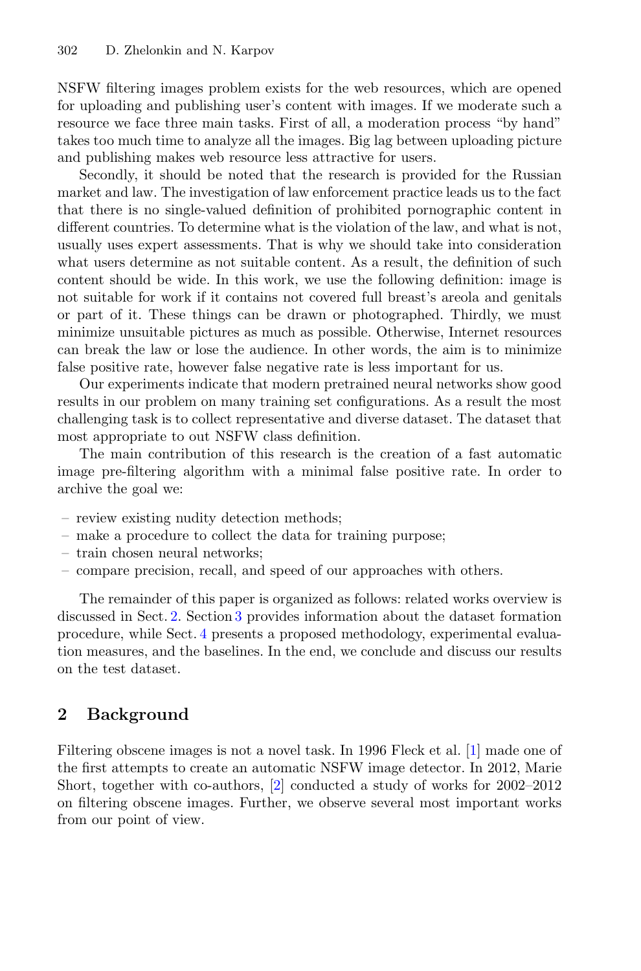NSFW filtering images problem exists for the web resources, which are opened for uploading and publishing user's content with images. If we moderate such a resource we face three main tasks. First of all, a moderation process "by hand" takes too much time to analyze all the images. Big lag between uploading picture and publishing makes web resource less attractive for users.

Secondly, it should be noted that the research is provided for the Russian market and law. The investigation of law enforcement practice leads us to the fact that there is no single-valued definition of prohibited pornographic content in different countries. To determine what is the violation of the law, and what is not, usually uses expert assessments. That is why we should take into consideration what users determine as not suitable content. As a result, the definition of such content should be wide. In this work, we use the following definition: image is not suitable for work if it contains not covered full breast's areola and genitals or part of it. These things can be drawn or photographed. Thirdly, we must minimize unsuitable pictures as much as possible. Otherwise, Internet resources can break the law or lose the audience. In other words, the aim is to minimize false positive rate, however false negative rate is less important for us.

Our experiments indicate that modern pretrained neural networks show good results in our problem on many training set configurations. As a result the most challenging task is to collect representative and diverse dataset. The dataset that most appropriate to out NSFW class definition.

The main contribution of this research is the creation of a fast automatic image pre-filtering algorithm with a minimal false positive rate. In order to archive the goal we:

- review existing nudity detection methods;
- make a procedure to collect the data for training purpose;
- train chosen neural networks;
- compare precision, recall, and speed of our approaches with others.

The remainder of this paper is organized as follows: related works overview is discussed in Sect. [2.](#page-1-0) Section [3](#page-3-0) provides information about the dataset formation procedure, while Sect. [4](#page-7-0) presents a proposed methodology, experimental evaluation measures, and the baselines. In the end, we conclude and discuss our results on the test dataset.

### <span id="page-1-0"></span>2 Background

Filtering obscene images is not a novel task. In 1996 Fleck et al. [\[1](#page-10-0)] made one of the first attempts to create an automatic NSFW image detector. In 2012, Marie Short, together with co-authors, [\[2\]](#page-10-1) conducted a study of works for 2002–2012 on filtering obscene images. Further, we observe several most important works from our point of view.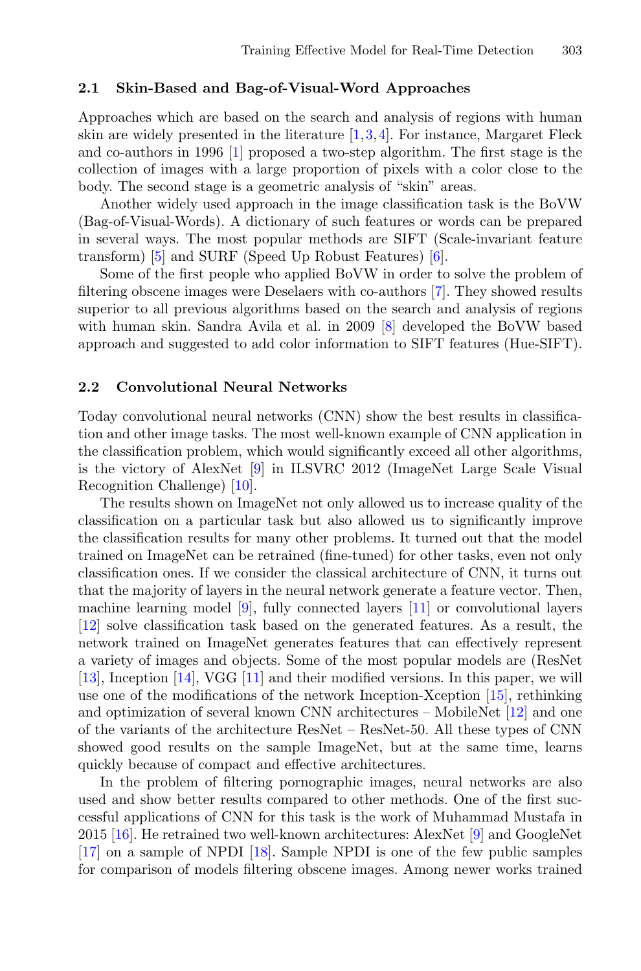#### 2.1 Skin-Based and Bag-of-Visual-Word Approaches

Approaches which are based on the search and analysis of regions with human skin are widely presented in the literature [\[1](#page-10-0),[3,](#page-10-2)[4\]](#page-10-3). For instance, Margaret Fleck and co-authors in 1996 [\[1](#page-10-0)] proposed a two-step algorithm. The first stage is the collection of images with a large proportion of pixels with a color close to the body. The second stage is a geometric analysis of "skin" areas.

Another widely used approach in the image classification task is the BoVW (Bag-of-Visual-Words). A dictionary of such features or words can be prepared in several ways. The most popular methods are SIFT (Scale-invariant feature transform) [\[5\]](#page-10-4) and SURF (Speed Up Robust Features) [\[6](#page-10-5)].

Some of the first people who applied BoVW in order to solve the problem of filtering obscene images were Deselaers with co-authors [\[7](#page-10-6)]. They showed results superior to all previous algorithms based on the search and analysis of regions with human skin. Sandra Avila et al. in 2009 [\[8](#page-10-7)] developed the BoVW based approach and suggested to add color information to SIFT features (Hue-SIFT).

#### 2.2 Convolutional Neural Networks

Today convolutional neural networks (CNN) show the best results in classification and other image tasks. The most well-known example of CNN application in the classification problem, which would significantly exceed all other algorithms, is the victory of AlexNet [\[9](#page-10-8)] in ILSVRC 2012 (ImageNet Large Scale Visual Recognition Challenge) [\[10](#page-11-0)].

The results shown on ImageNet not only allowed us to increase quality of the classification on a particular task but also allowed us to significantly improve the classification results for many other problems. It turned out that the model trained on ImageNet can be retrained (fine-tuned) for other tasks, even not only classification ones. If we consider the classical architecture of CNN, it turns out that the majority of layers in the neural network generate a feature vector. Then, machine learning model [\[9\]](#page-10-8), fully connected layers [\[11\]](#page-11-1) or convolutional layers [\[12](#page-11-2)] solve classification task based on the generated features. As a result, the network trained on ImageNet generates features that can effectively represent a variety of images and objects. Some of the most popular models are (ResNet [\[13](#page-11-3)], Inception [\[14](#page-11-4)], VGG [\[11\]](#page-11-1) and their modified versions. In this paper, we will use one of the modifications of the network Inception-Xception [\[15\]](#page-11-5), rethinking and optimization of several known CNN architectures – MobileNet [\[12](#page-11-2)] and one of the variants of the architecture ResNet – ResNet-50. All these types of CNN showed good results on the sample ImageNet, but at the same time, learns quickly because of compact and effective architectures.

In the problem of filtering pornographic images, neural networks are also used and show better results compared to other methods. One of the first successful applications of CNN for this task is the work of Muhammad Mustafa in 2015 [\[16\]](#page-11-6). He retrained two well-known architectures: AlexNet [\[9](#page-10-8)] and GoogleNet [\[17](#page-11-7)] on a sample of NPDI [\[18\]](#page-11-8). Sample NPDI is one of the few public samples for comparison of models filtering obscene images. Among newer works trained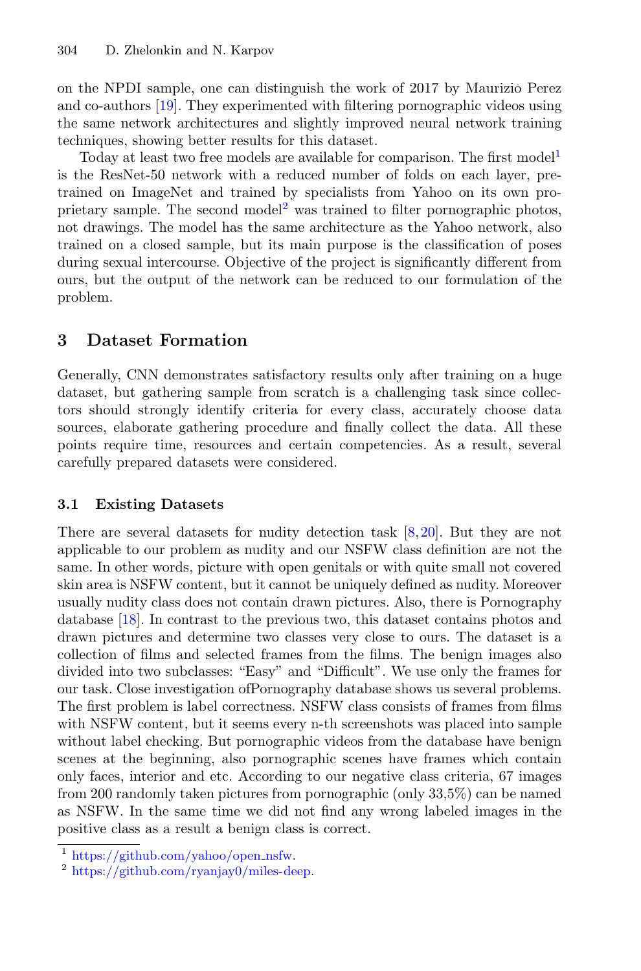on the NPDI sample, one can distinguish the work of 2017 by Maurizio Perez and co-authors [\[19](#page-11-9)]. They experimented with filtering pornographic videos using the same network architectures and slightly improved neural network training techniques, showing better results for this dataset.

Today at least two free models are available for comparison. The first model<sup>[1](#page-3-1)</sup> is the ResNet-50 network with a reduced number of folds on each layer, pretrained on ImageNet and trained by specialists from Yahoo on its own pro-prietary sample. The second model<sup>[2](#page-3-2)</sup> was trained to filter pornographic photos, not drawings. The model has the same architecture as the Yahoo network, also trained on a closed sample, but its main purpose is the classification of poses during sexual intercourse. Objective of the project is significantly different from ours, but the output of the network can be reduced to our formulation of the problem.

# <span id="page-3-0"></span>3 Dataset Formation

Generally, CNN demonstrates satisfactory results only after training on a huge dataset, but gathering sample from scratch is a challenging task since collectors should strongly identify criteria for every class, accurately choose data sources, elaborate gathering procedure and finally collect the data. All these points require time, resources and certain competencies. As a result, several carefully prepared datasets were considered.

### 3.1 Existing Datasets

There are several datasets for nudity detection task [\[8](#page-10-7)[,20](#page-11-10)]. But they are not applicable to our problem as nudity and our NSFW class definition are not the same. In other words, picture with open genitals or with quite small not covered skin area is NSFW content, but it cannot be uniquely defined as nudity. Moreover usually nudity class does not contain drawn pictures. Also, there is Pornography database [\[18\]](#page-11-8). In contrast to the previous two, this dataset contains photos and drawn pictures and determine two classes very close to ours. The dataset is a collection of films and selected frames from the films. The benign images also divided into two subclasses: "Easy" and "Difficult". We use only the frames for our task. Close investigation ofPornography database shows us several problems. The first problem is label correctness. NSFW class consists of frames from films with NSFW content, but it seems every n-th screenshots was placed into sample without label checking. But pornographic videos from the database have benign scenes at the beginning, also pornographic scenes have frames which contain only faces, interior and etc. According to our negative class criteria, 67 images from 200 randomly taken pictures from pornographic (only 33,5%) can be named as NSFW. In the same time we did not find any wrong labeled images in the positive class as a result a benign class is correct.

<span id="page-3-1"></span> $1$  [https://github.com/yahoo/open](https://github.com/yahoo/open_nsfw)\_nsfw.

<span id="page-3-2"></span> $2 \text{ https://github.com/ryanjay0/miles-deep.}$  $2 \text{ https://github.com/ryanjay0/miles-deep.}$  $2 \text{ https://github.com/ryanjay0/miles-deep.}$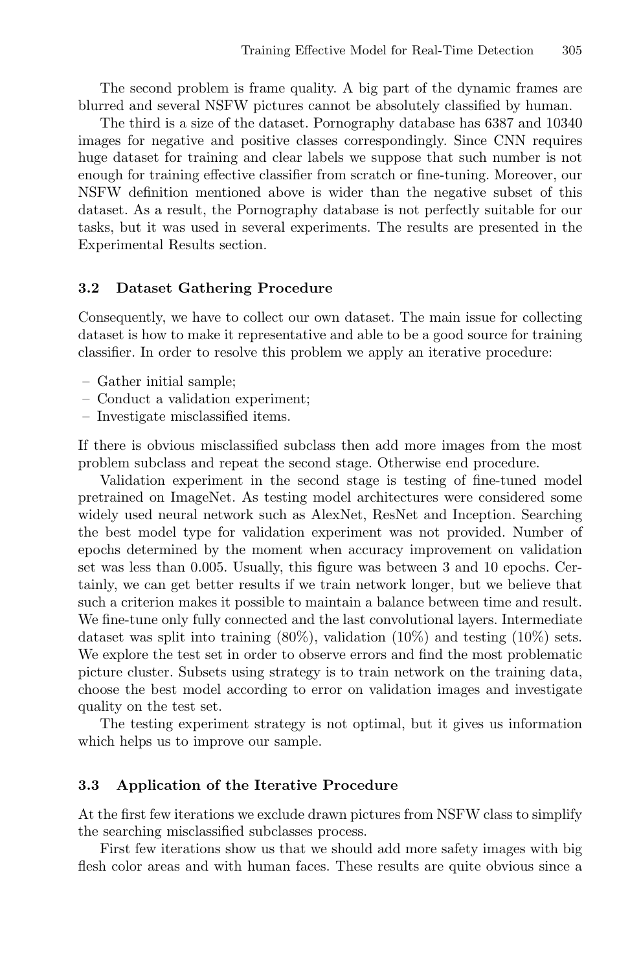The second problem is frame quality. A big part of the dynamic frames are blurred and several NSFW pictures cannot be absolutely classified by human.

The third is a size of the dataset. Pornography database has 6387 and 10340 images for negative and positive classes correspondingly. Since CNN requires huge dataset for training and clear labels we suppose that such number is not enough for training effective classifier from scratch or fine-tuning. Moreover, our NSFW definition mentioned above is wider than the negative subset of this dataset. As a result, the Pornography database is not perfectly suitable for our tasks, but it was used in several experiments. The results are presented in the Experimental Results section.

#### 3.2 Dataset Gathering Procedure

Consequently, we have to collect our own dataset. The main issue for collecting dataset is how to make it representative and able to be a good source for training classifier. In order to resolve this problem we apply an iterative procedure:

- Gather initial sample;
- Conduct a validation experiment;
- Investigate misclassified items.

If there is obvious misclassified subclass then add more images from the most problem subclass and repeat the second stage. Otherwise end procedure.

Validation experiment in the second stage is testing of fine-tuned model pretrained on ImageNet. As testing model architectures were considered some widely used neural network such as AlexNet, ResNet and Inception. Searching the best model type for validation experiment was not provided. Number of epochs determined by the moment when accuracy improvement on validation set was less than 0.005. Usually, this figure was between 3 and 10 epochs. Certainly, we can get better results if we train network longer, but we believe that such a criterion makes it possible to maintain a balance between time and result. We fine-tune only fully connected and the last convolutional layers. Intermediate dataset was split into training  $(80\%)$ , validation  $(10\%)$  and testing  $(10\%)$  sets. We explore the test set in order to observe errors and find the most problematic picture cluster. Subsets using strategy is to train network on the training data, choose the best model according to error on validation images and investigate quality on the test set.

The testing experiment strategy is not optimal, but it gives us information which helps us to improve our sample.

#### 3.3 Application of the Iterative Procedure

At the first few iterations we exclude drawn pictures from NSFW class to simplify the searching misclassified subclasses process.

First few iterations show us that we should add more safety images with big flesh color areas and with human faces. These results are quite obvious since a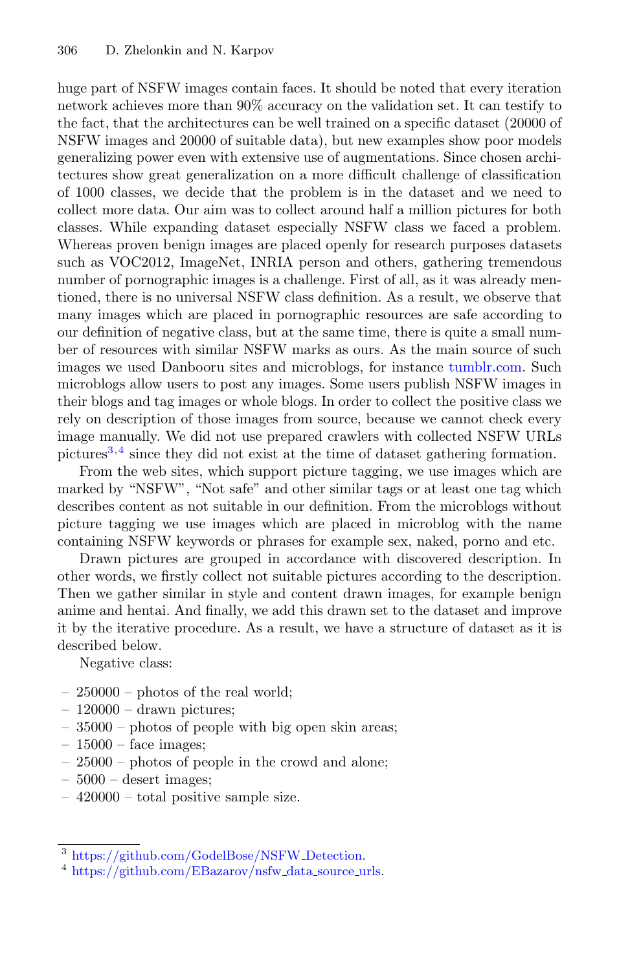huge part of NSFW images contain faces. It should be noted that every iteration network achieves more than 90% accuracy on the validation set. It can testify to the fact, that the architectures can be well trained on a specific dataset (20000 of NSFW images and 20000 of suitable data), but new examples show poor models generalizing power even with extensive use of augmentations. Since chosen architectures show great generalization on a more difficult challenge of classification of 1000 classes, we decide that the problem is in the dataset and we need to collect more data. Our aim was to collect around half a million pictures for both classes. While expanding dataset especially NSFW class we faced a problem. Whereas proven benign images are placed openly for research purposes datasets such as VOC2012, ImageNet, INRIA person and others, gathering tremendous number of pornographic images is a challenge. First of all, as it was already mentioned, there is no universal NSFW class definition. As a result, we observe that many images which are placed in pornographic resources are safe according to our definition of negative class, but at the same time, there is quite a small number of resources with similar NSFW marks as ours. As the main source of such images we used Danbooru sites and microblogs, for instance [tumblr.com.](https://www.tumblr.com) Such microblogs allow users to post any images. Some users publish NSFW images in their blogs and tag images or whole blogs. In order to collect the positive class we rely on description of those images from source, because we cannot check every image manually. We did not use prepared crawlers with collected NSFW URLs pictures<sup>[3](#page-5-0),[4](#page-5-1)</sup> since they did not exist at the time of dataset gathering formation.

From the web sites, which support picture tagging, we use images which are marked by "NSFW", "Not safe" and other similar tags or at least one tag which describes content as not suitable in our definition. From the microblogs without picture tagging we use images which are placed in microblog with the name containing NSFW keywords or phrases for example sex, naked, porno and etc.

Drawn pictures are grouped in accordance with discovered description. In other words, we firstly collect not suitable pictures according to the description. Then we gather similar in style and content drawn images, for example benign anime and hentai. And finally, we add this drawn set to the dataset and improve it by the iterative procedure. As a result, we have a structure of dataset as it is described below.

Negative class:

- 250000 photos of the real world;
- $-120000 \text{drawn pictures};$
- 35000 photos of people with big open skin areas;
- $-15000$  face images;
- 25000 photos of people in the crowd and alone;
- 5000 desert images;
- 420000 total positive sample size.

<span id="page-5-0"></span><sup>3</sup> [https://github.com/GodelBose/NSFW](https://github.com/GodelBose/NSFW_Detection) Detection.

<span id="page-5-1"></span><sup>&</sup>lt;sup>4</sup> [https://github.com/EBazarov/nsfw](https://github.com/EBazarov/nsfw_data_source_urls)\_data\_source\_urls.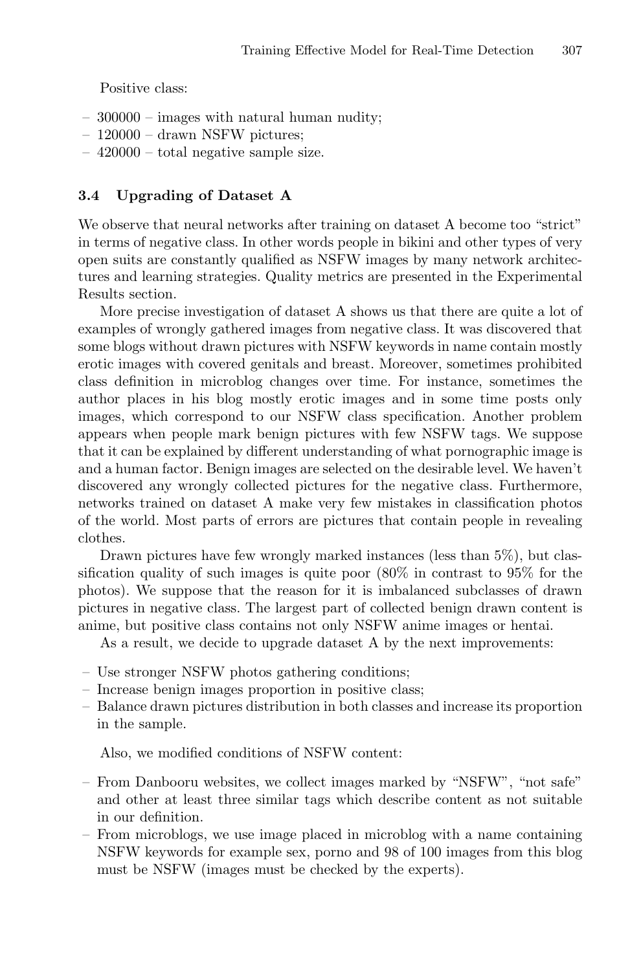Positive class:

- 300000 images with natural human nudity;
- 120000 drawn NSFW pictures;
- 420000 total negative sample size.

#### 3.4 Upgrading of Dataset A

We observe that neural networks after training on dataset A become too "strict" in terms of negative class. In other words people in bikini and other types of very open suits are constantly qualified as NSFW images by many network architectures and learning strategies. Quality metrics are presented in the Experimental Results section.

More precise investigation of dataset A shows us that there are quite a lot of examples of wrongly gathered images from negative class. It was discovered that some blogs without drawn pictures with NSFW keywords in name contain mostly erotic images with covered genitals and breast. Moreover, sometimes prohibited class definition in microblog changes over time. For instance, sometimes the author places in his blog mostly erotic images and in some time posts only images, which correspond to our NSFW class specification. Another problem appears when people mark benign pictures with few NSFW tags. We suppose that it can be explained by different understanding of what pornographic image is and a human factor. Benign images are selected on the desirable level. We haven't discovered any wrongly collected pictures for the negative class. Furthermore, networks trained on dataset A make very few mistakes in classification photos of the world. Most parts of errors are pictures that contain people in revealing clothes.

Drawn pictures have few wrongly marked instances (less than 5%), but classification quality of such images is quite poor (80% in contrast to 95% for the photos). We suppose that the reason for it is imbalanced subclasses of drawn pictures in negative class. The largest part of collected benign drawn content is anime, but positive class contains not only NSFW anime images or hentai.

As a result, we decide to upgrade dataset A by the next improvements:

- Use stronger NSFW photos gathering conditions;
- Increase benign images proportion in positive class;
- Balance drawn pictures distribution in both classes and increase its proportion in the sample.

Also, we modified conditions of NSFW content:

- From Danbooru websites, we collect images marked by "NSFW", "not safe" and other at least three similar tags which describe content as not suitable in our definition.
- From microblogs, we use image placed in microblog with a name containing NSFW keywords for example sex, porno and 98 of 100 images from this blog must be NSFW (images must be checked by the experts).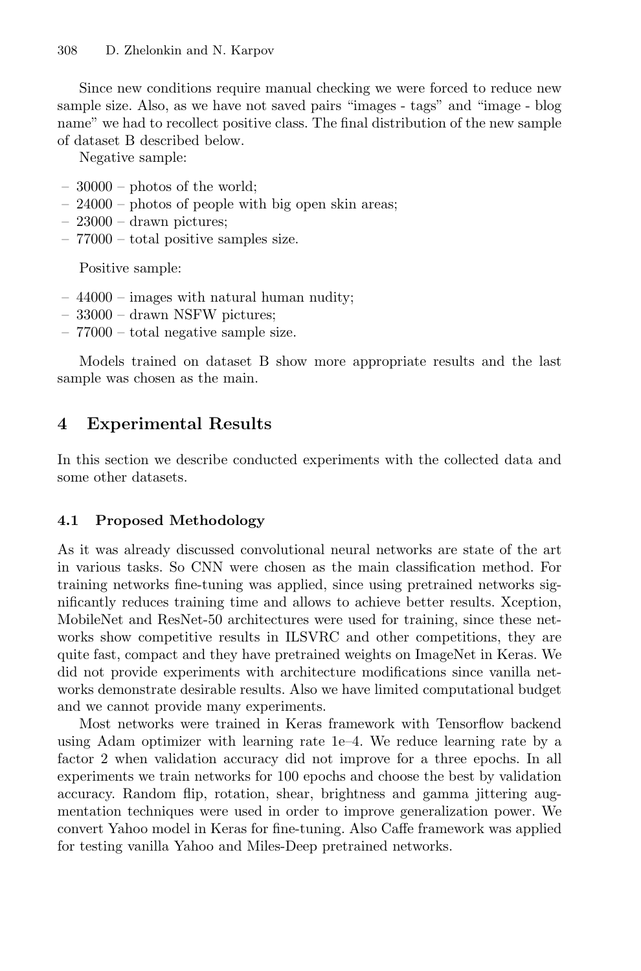Since new conditions require manual checking we were forced to reduce new sample size. Also, as we have not saved pairs "images - tags" and "image - blog name" we had to recollect positive class. The final distribution of the new sample of dataset B described below.

Negative sample:

- 30000 photos of the world;
- 24000 photos of people with big open skin areas;
- 23000 drawn pictures;
- 77000 total positive samples size.

Positive sample:

- 44000 images with natural human nudity;
- 33000 drawn NSFW pictures;
- 77000 total negative sample size.

Models trained on dataset B show more appropriate results and the last sample was chosen as the main.

# <span id="page-7-0"></span>4 Experimental Results

In this section we describe conducted experiments with the collected data and some other datasets.

### 4.1 Proposed Methodology

As it was already discussed convolutional neural networks are state of the art in various tasks. So CNN were chosen as the main classification method. For training networks fine-tuning was applied, since using pretrained networks significantly reduces training time and allows to achieve better results. Xception, MobileNet and ResNet-50 architectures were used for training, since these networks show competitive results in ILSVRC and other competitions, they are quite fast, compact and they have pretrained weights on ImageNet in Keras. We did not provide experiments with architecture modifications since vanilla networks demonstrate desirable results. Also we have limited computational budget and we cannot provide many experiments.

Most networks were trained in Keras framework with Tensorflow backend using Adam optimizer with learning rate 1e–4. We reduce learning rate by a factor 2 when validation accuracy did not improve for a three epochs. In all experiments we train networks for 100 epochs and choose the best by validation accuracy. Random flip, rotation, shear, brightness and gamma jittering augmentation techniques were used in order to improve generalization power. We convert Yahoo model in Keras for fine-tuning. Also Caffe framework was applied for testing vanilla Yahoo and Miles-Deep pretrained networks.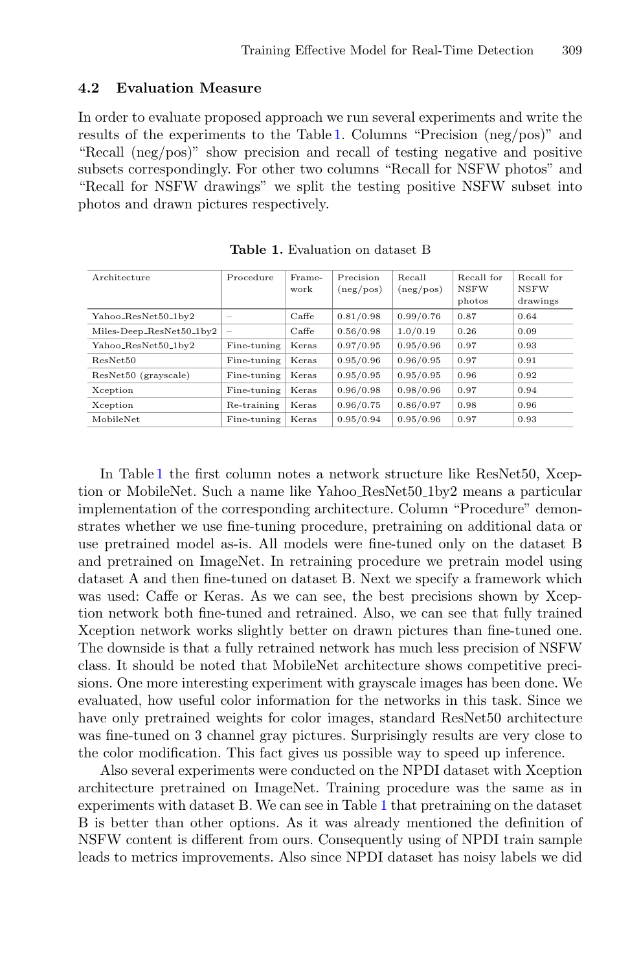#### 4.2 Evaluation Measure

In order to evaluate proposed approach we run several experiments and write the results of the experiments to the Table [1.](#page-8-0) Columns "Precision (neg/pos)" and "Recall (neg/pos)" show precision and recall of testing negative and positive subsets correspondingly. For other two columns "Recall for NSFW photos" and "Recall for NSFW drawings" we split the testing positive NSFW subset into photos and drawn pictures respectively.

| Architecture             | Procedure                | Frame-<br>work | Precision<br>(neg/pos) | Recall<br>(neg/pos) | Recall for<br><b>NSFW</b><br>photos | Recall for<br><b>NSFW</b><br>drawings |
|--------------------------|--------------------------|----------------|------------------------|---------------------|-------------------------------------|---------------------------------------|
| Yahoo_ResNet50_1by2      |                          | $Ca$ ffe       | 0.81/0.98              | 0.99/0.76           | 0.87                                | 0.64                                  |
| Miles-Deep_ResNet50_1by2 | $\overline{\phantom{0}}$ | $Ca$ ffe       | 0.56/0.98              | 1.0/0.19            | 0.26                                | 0.09                                  |
| Yahoo_ResNet50_1bv2      | Fine-tuning              | Keras          | 0.97/0.95              | 0.95/0.96           | 0.97                                | 0.93                                  |
| ResNet50                 | Fine-tuning              | Keras          | 0.95/0.96              | 0.96/0.95           | 0.97                                | 0.91                                  |
| ResNet50 (grayscale)     | Fine-tuning              | Keras          | 0.95/0.95              | 0.95/0.95           | 0.96                                | 0.92                                  |
| Xception                 | Fine-tuning              | Keras          | 0.96/0.98              | 0.98/0.96           | 0.97                                | 0.94                                  |
| Xception                 | Re-training              | Keras          | 0.96/0.75              | 0.86/0.97           | 0.98                                | 0.96                                  |
| MobileNet                | Fine-tuning              | Keras          | 0.95/0.94              | 0.95/0.96           | 0.97                                | 0.93                                  |

<span id="page-8-0"></span>Table 1. Evaluation on dataset B

In Table [1](#page-8-0) the first column notes a network structure like ResNet50, Xception or MobileNet. Such a name like Yahoo ResNet50 1by2 means a particular implementation of the corresponding architecture. Column "Procedure" demonstrates whether we use fine-tuning procedure, pretraining on additional data or use pretrained model as-is. All models were fine-tuned only on the dataset B and pretrained on ImageNet. In retraining procedure we pretrain model using dataset A and then fine-tuned on dataset B. Next we specify a framework which was used: Caffe or Keras. As we can see, the best precisions shown by Xception network both fine-tuned and retrained. Also, we can see that fully trained Xception network works slightly better on drawn pictures than fine-tuned one. The downside is that a fully retrained network has much less precision of NSFW class. It should be noted that MobileNet architecture shows competitive precisions. One more interesting experiment with grayscale images has been done. We evaluated, how useful color information for the networks in this task. Since we have only pretrained weights for color images, standard ResNet50 architecture was fine-tuned on 3 channel gray pictures. Surprisingly results are very close to the color modification. This fact gives us possible way to speed up inference.

Also several experiments were conducted on the NPDI dataset with Xception architecture pretrained on ImageNet. Training procedure was the same as in experiments with dataset B. We can see in Table [1](#page-8-0) that pretraining on the dataset B is better than other options. As it was already mentioned the definition of NSFW content is different from ours. Consequently using of NPDI train sample leads to metrics improvements. Also since NPDI dataset has noisy labels we did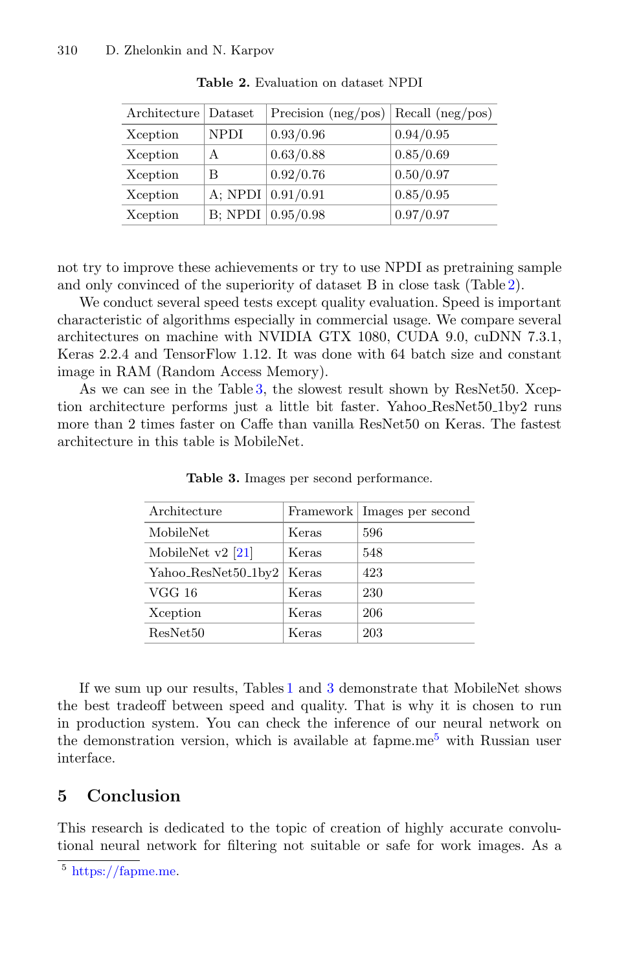| Architecture   Dataset |             | Precision $(neg/pos)$ Recall $(neg/pos)$ |           |
|------------------------|-------------|------------------------------------------|-----------|
| Xception               | <b>NPDI</b> | 0.93/0.96                                | 0.94/0.95 |
| Xception               | A           | 0.63/0.88                                | 0.85/0.69 |
| Xception               | В           | 0.92/0.76                                | 0.50/0.97 |
| Xception               |             | A; NPDI $\vert 0.91/0.91 \vert$          | 0.85/0.95 |
| Xception               |             | B; NPDI $\vert 0.95/0.98$                | 0.97/0.97 |

<span id="page-9-0"></span>Table 2. Evaluation on dataset NPDI

not try to improve these achievements or try to use NPDI as pretraining sample and only convinced of the superiority of dataset B in close task (Table [2\)](#page-9-0).

We conduct several speed tests except quality evaluation. Speed is important characteristic of algorithms especially in commercial usage. We compare several architectures on machine with NVIDIA GTX 1080, CUDA 9.0, cuDNN 7.3.1, Keras 2.2.4 and TensorFlow 1.12. It was done with 64 batch size and constant image in RAM (Random Access Memory).

As we can see in the Table [3,](#page-9-1) the slowest result shown by ResNet50. Xception architecture performs just a little bit faster. Yahoo\_ResNet50\_1by2 runs more than 2 times faster on Caffe than vanilla ResNet50 on Keras. The fastest architecture in this table is MobileNet.

| Architecture        |       | Framework   Images per second |
|---------------------|-------|-------------------------------|
| MobileNet           | Keras | 596                           |
| MobileNet $v2$ [21] | Keras | 548                           |
| Yahoo_ResNet50_1by2 | Keras | 423                           |
| $VGG$ 16            | Keras | 230                           |
| Xception            | Keras | 206                           |
| ResNet50            | Keras | 203                           |

<span id="page-9-1"></span>Table 3. Images per second performance.

If we sum up our results, Tables [1](#page-8-0) and [3](#page-9-1) demonstrate that MobileNet shows the best tradeoff between speed and quality. That is why it is chosen to run in production system. You can check the inference of our neural network on the demonstration version, which is available at fapme.me<sup>[5](#page-9-2)</sup> with Russian user interface.

# 5 Conclusion

This research is dedicated to the topic of creation of highly accurate convolutional neural network for filtering not suitable or safe for work images. As a

<span id="page-9-2"></span><sup>5</sup> [https://fapme.me.](https://fapme.me)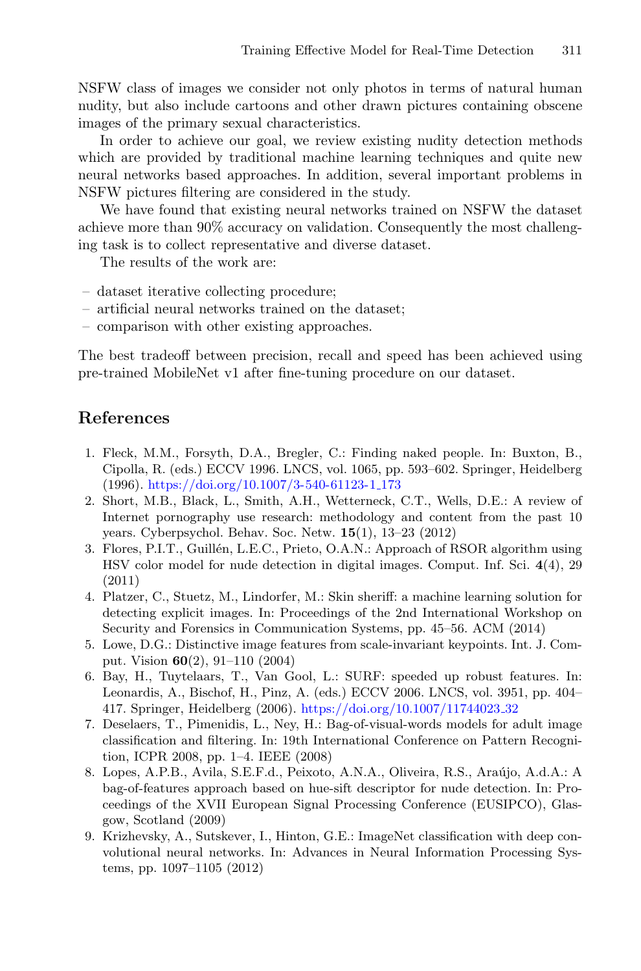NSFW class of images we consider not only photos in terms of natural human nudity, but also include cartoons and other drawn pictures containing obscene images of the primary sexual characteristics.

In order to achieve our goal, we review existing nudity detection methods which are provided by traditional machine learning techniques and quite new neural networks based approaches. In addition, several important problems in NSFW pictures filtering are considered in the study.

We have found that existing neural networks trained on NSFW the dataset achieve more than 90% accuracy on validation. Consequently the most challenging task is to collect representative and diverse dataset.

The results of the work are:

- dataset iterative collecting procedure;
- artificial neural networks trained on the dataset;
- comparison with other existing approaches.

The best tradeoff between precision, recall and speed has been achieved using pre-trained MobileNet v1 after fine-tuning procedure on our dataset.

### References

- <span id="page-10-0"></span>1. Fleck, M.M., Forsyth, D.A., Bregler, C.: Finding naked people. In: Buxton, B., Cipolla, R. (eds.) ECCV 1996. LNCS, vol. 1065, pp. 593–602. Springer, Heidelberg  $(1996)$ . [https://doi.org/10.1007/3-540-61123-1](https://doi.org/10.1007/3-540-61123-1_173)<sub>-1</sub>173
- <span id="page-10-1"></span>2. Short, M.B., Black, L., Smith, A.H., Wetterneck, C.T., Wells, D.E.: A review of Internet pornography use research: methodology and content from the past 10 years. Cyberpsychol. Behav. Soc. Netw. 15(1), 13–23 (2012)
- <span id="page-10-2"></span>3. Flores, P.I.T., Guillén, L.E.C., Prieto, O.A.N.: Approach of RSOR algorithm using HSV color model for nude detection in digital images. Comput. Inf. Sci. 4(4), 29 (2011)
- <span id="page-10-3"></span>4. Platzer, C., Stuetz, M., Lindorfer, M.: Skin sheriff: a machine learning solution for detecting explicit images. In: Proceedings of the 2nd International Workshop on Security and Forensics in Communication Systems, pp. 45–56. ACM (2014)
- <span id="page-10-4"></span>5. Lowe, D.G.: Distinctive image features from scale-invariant keypoints. Int. J. Comput. Vision 60(2), 91–110 (2004)
- <span id="page-10-5"></span>6. Bay, H., Tuytelaars, T., Van Gool, L.: SURF: speeded up robust features. In: Leonardis, A., Bischof, H., Pinz, A. (eds.) ECCV 2006. LNCS, vol. 3951, pp. 404– 417. Springer, Heidelberg (2006). [https://doi.org/10.1007/11744023](https://doi.org/10.1007/11744023_32) 32
- <span id="page-10-6"></span>7. Deselaers, T., Pimenidis, L., Ney, H.: Bag-of-visual-words models for adult image classification and filtering. In: 19th International Conference on Pattern Recognition, ICPR 2008, pp. 1–4. IEEE (2008)
- <span id="page-10-7"></span>8. Lopes, A.P.B., Avila, S.E.F.d., Peixoto, A.N.A., Oliveira, R.S., Araújo, A.d.A.: A bag-of-features approach based on hue-sift descriptor for nude detection. In: Proceedings of the XVII European Signal Processing Conference (EUSIPCO), Glasgow, Scotland (2009)
- <span id="page-10-8"></span>9. Krizhevsky, A., Sutskever, I., Hinton, G.E.: ImageNet classification with deep convolutional neural networks. In: Advances in Neural Information Processing Systems, pp. 1097–1105 (2012)